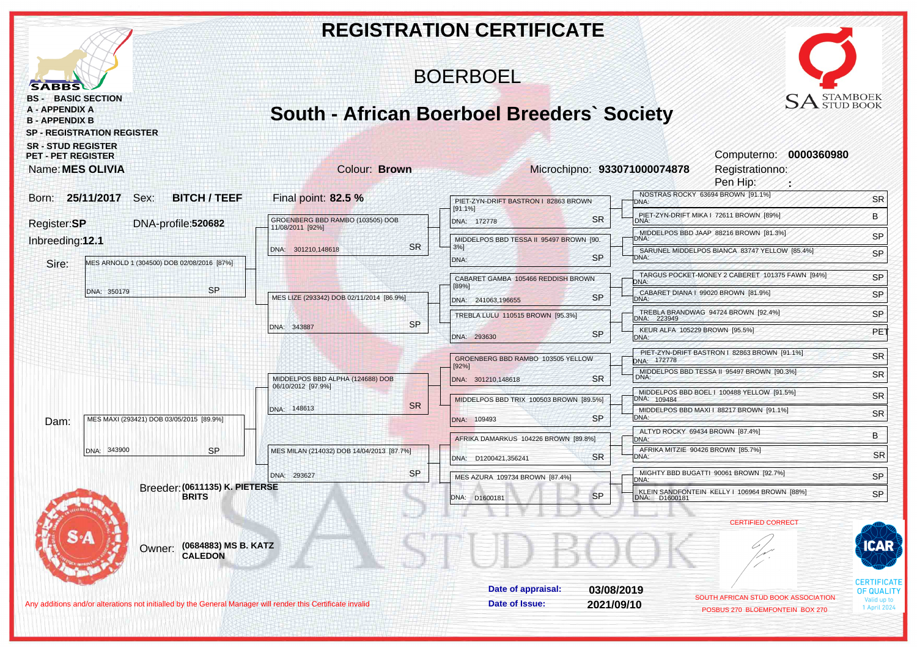|                                                                                                                                                |                                                   |           | <b>REGISTRATION CERTIFICATE</b>             |           |                                               |                                                                        |                                         |
|------------------------------------------------------------------------------------------------------------------------------------------------|---------------------------------------------------|-----------|---------------------------------------------|-----------|-----------------------------------------------|------------------------------------------------------------------------|-----------------------------------------|
| <b>SABBS</b>                                                                                                                                   |                                                   |           | <b>BOERBOEL</b>                             |           |                                               |                                                                        |                                         |
| <b>BASIC SECTION</b><br>BS -<br><b>A - APPENDIX A</b><br><b>B-APPENDIX B</b><br><b>SP - REGISTRATION REGISTER</b><br><b>SR - STUD REGISTER</b> | <b>South - African Boerboel Breeders' Society</b> |           |                                             |           |                                               | <b>SA</b> STAMBOEK                                                     |                                         |
| <b>PET - PET REGISTER</b><br>Name: MES OLIVIA                                                                                                  | Colour: Brown                                     |           |                                             |           | Microchipno: 933071000074878                  | Computerno: 0000360980<br>Registrationno:<br>Pen Hip:                  |                                         |
| Born: 25/11/2017 Sex:<br><b>BITCH / TEEF</b>                                                                                                   | Final point: 82.5 %                               |           | PIET-ZYN-DRIFT BASTRON I 82863 BROWN        |           | DNA:                                          | NOSTRAS ROCKY 63694 BROWN [91.1%]                                      | <b>SR</b>                               |
| Register:SP<br>DNA-profile:520682                                                                                                              | GROENBERG BBD RAMBO (103505) DOB                  |           | [91.1%]<br>DNA: 172778                      | <b>SR</b> | DNA:                                          | PIET-ZYN-DRIFT MIKA I 72611 BROWN [89%]                                | B                                       |
| Inbreeding:12.1                                                                                                                                | 11/08/2011 [92%]                                  |           | MIDDELPOS BBD TESSA II 95497 BROWN [90.     |           | DNA:                                          | MIDDELPOS BBD JAAP 88216 BROWN [81.3%]                                 | SP                                      |
|                                                                                                                                                | DNA: 301210,148618                                | <b>SR</b> | $3%$ ]<br>DNA:                              | <b>SP</b> | DNA:                                          | SARUNEL MIDDELPOS BIANCA 83747 YELLOW [85.4%]                          | SP                                      |
| MES ARNOLD 1 (304500) DOB 02/08/2016 [87%]<br>Sire:                                                                                            |                                                   |           |                                             |           |                                               | TARGUS POCKET-MONEY 2 CABERET 101375 FAWN [94%]                        | SP                                      |
| <b>SP</b><br>DNA: 350179                                                                                                                       |                                                   |           | CABARET GAMBA 105466 REDDISH BROWN<br>[89%] |           | DNA:                                          | CABARET DIANA   99020 BROWN [81.9%]                                    | SP                                      |
|                                                                                                                                                | MES LIZE (293342) DOB 02/11/2014 [86.9%]          |           | DNA: 241063,196655                          | <b>SP</b> | DNA:                                          | TREBLA BRANDWAG 94724 BROWN [92.4%]                                    |                                         |
|                                                                                                                                                | DNA: 343887                                       | <b>SP</b> | TREBLA LULU 110515 BROWN [95.3%]            |           | DNA: 223949<br>KEUR ALFA 105229 BROWN [95.5%] |                                                                        | SP                                      |
|                                                                                                                                                |                                                   |           | DNA: 293630                                 | <b>SP</b> | DNA:                                          |                                                                        | PE <sub>1</sub>                         |
|                                                                                                                                                |                                                   |           | GROENBERG BBD RAMBO 103505 YELLOW<br>[92%]  |           | DNA: 172778                                   | PIET-ZYN-DRIFT BASTRON   82863 BROWN [91.1%]                           | <b>SR</b>                               |
|                                                                                                                                                | MIDDELPOS BBD ALPHA (124688) DOB                  |           | DNA: 301210,148618                          | <b>SR</b> | DNA:                                          | MIDDELPOS BBD TESSA II 95497 BROWN [90.3%]                             | <b>SR</b>                               |
|                                                                                                                                                | 06/10/2012 [97.9%]                                |           | MIDDELPOS BBD TRIX 100503 BROWN [89.5%]     |           | DNA: 109484                                   | MIDDELPOS BBD BOEL   100488 YELLOW [91.5%]                             | <b>SR</b>                               |
| MES MAXI (293421) DOB 03/05/2015 [89.9%]                                                                                                       | DNA: 148613                                       | <b>SR</b> | DNA: 109493                                 | <b>SP</b> | DNA:                                          | MIDDELPOS BBD MAXI I 88217 BROWN [91.1%]                               | <b>SR</b>                               |
| Dam:                                                                                                                                           |                                                   |           | AFRIKA DAMARKUS 104226 BROWN [89.8%]        |           | ALTYD ROCKY 69434 BROWN [87.4%]               |                                                                        | В                                       |
| <b>SP</b><br>DNA: 343900                                                                                                                       | MES MILAN (214032) DOB 14/04/2013 [87.7%]         |           |                                             |           | DNA:<br>AFRIKA MITZIE 90426 BROWN [85.7%]     |                                                                        | <b>SR</b>                               |
|                                                                                                                                                |                                                   | <b>SP</b> | DNA: D1200421,356241                        | <b>SR</b> | DNA:                                          | MIGHTY BBD BUGATTI 90061 BROWN [92.7%]                                 |                                         |
| Breeder: (0611135) K. PIETERSE                                                                                                                 | DNA: 293627                                       |           | MES AZURA 109734 BROWN [87.4%]              |           | DNA:                                          | KLEIN SANDFONTEIN KELLY I 106964 BROWN [88%]                           | SP                                      |
| <b>BRITS</b>                                                                                                                                   |                                                   |           | DNA: D1600181                               | SP        | DNA: D1600181                                 |                                                                        | SP                                      |
|                                                                                                                                                |                                                   |           |                                             |           |                                               | <b>CERTIFIED CORRECT</b>                                               |                                         |
| (0684883) MS B. KATZ<br>Owner:<br><b>CALEDON</b>                                                                                               |                                                   |           |                                             |           |                                               |                                                                        | CAR                                     |
|                                                                                                                                                |                                                   |           | Date of appraisal:                          |           | 03/08/2019                                    |                                                                        | <b>CERTIFICATE</b><br><b>OF QUALITY</b> |
| Any additions and/or alterations not initialled by the General Manager will render this Certificate invalid                                    |                                                   |           | Date of Issue:                              |           | 2021/09/10                                    | SOUTH AFRICAN STUD BOOK ASSOCIATION<br>POSBUS 270 BLOEMFONTEIN BOX 270 | Valid up to<br>1 April 2024             |
|                                                                                                                                                |                                                   |           |                                             |           |                                               |                                                                        |                                         |